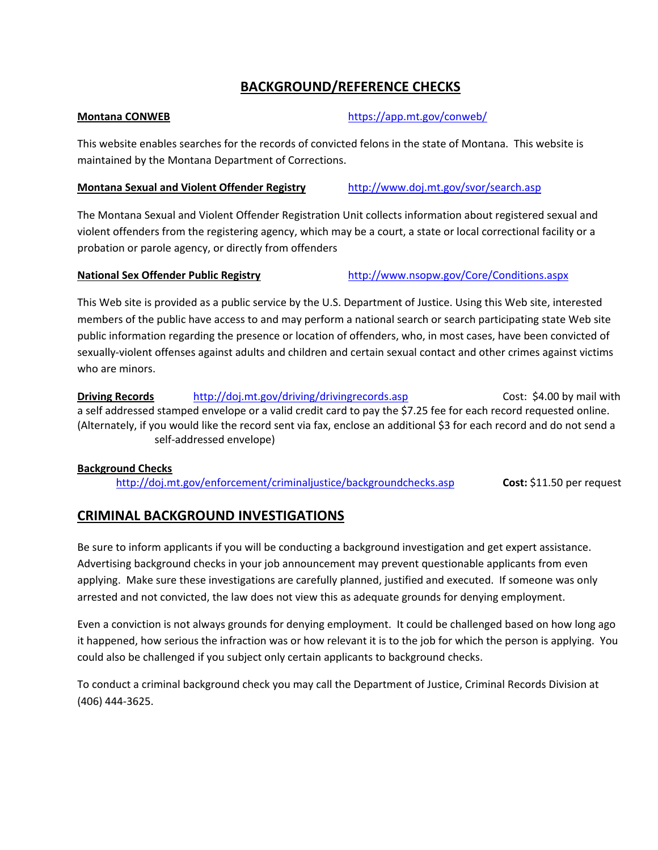# **BACKGROUND/REFERENCE CHECKS**

## **Montana CONWEB** *Montana* **CONWEB**

This website enables searches for the records of convicted felons in the state of Montana. This website is maintained by the Montana Department of Corrections.

### **Montana Sexual and Violent Offender Registry** http://www.doj.mt.gov/svor/search.asp

The Montana Sexual and Violent Offender Registration Unit collects information about registered sexual and violent offenders from the registering agency, which may be a court, a state or local correctional facility or a probation or parole agency, or directly from offenders

**National Sex Offender Public Registry** http://www.nsopw.gov/Core/Conditions.aspx

This Web site is provided as a public service by the U.S. Department of Justice. Using this Web site, interested members of the public have access to and may perform a national search or search participating state Web site public information regarding the presence or location of offenders, who, in most cases, have been convicted of sexually-violent offenses against adults and children and certain sexual contact and other crimes against victims who are minors.

**Driving Records** http://doj.mt.gov/driving/drivingrecords.asp  **Cost: \$4.00 by mail with** a self addressed stamped envelope or a valid credit card to pay the \$7.25 fee for each record requested online. (Alternately, if you would like the record sent via fax, enclose an additional \$3 for each record and do not send a self‐addressed envelope)

## **Background Checks**

http://doj.mt.gov/enforcement/criminaljustice/backgroundchecks.asp **Cost:** \$11.50 per request

# **CRIMINAL BACKGROUND INVESTIGATIONS**

Be sure to inform applicants if you will be conducting a background investigation and get expert assistance. Advertising background checks in your job announcement may prevent questionable applicants from even applying. Make sure these investigations are carefully planned, justified and executed. If someone was only arrested and not convicted, the law does not view this as adequate grounds for denying employment.

Even a conviction is not always grounds for denying employment. It could be challenged based on how long ago it happened, how serious the infraction was or how relevant it is to the job for which the person is applying. You could also be challenged if you subject only certain applicants to background checks.

To conduct a criminal background check you may call the Department of Justice, Criminal Records Division at (406) 444‐3625.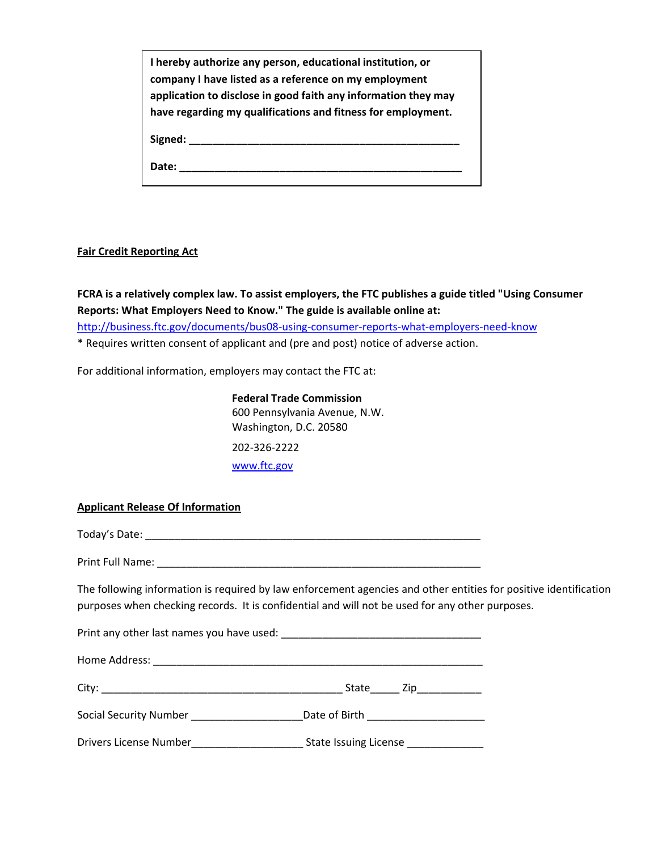| I hereby authorize any person, educational institution, or<br>company I have listed as a reference on my employment<br>application to disclose in good faith any information they may<br>have regarding my qualifications and fitness for employment. |
|-------------------------------------------------------------------------------------------------------------------------------------------------------------------------------------------------------------------------------------------------------|
|                                                                                                                                                                                                                                                       |
| Date:                                                                                                                                                                                                                                                 |

#### **Fair Credit Reporting Act**

**FCRA is a relatively complex law. To assist employers, the FTC publishes a guide titled "Using Consumer Reports: What Employers Need to Know." The guide is available online at:** 

http://business.ftc.gov/documents/bus08-using-consumer-reports-what-employers-need-know

\* Requires written consent of applicant and (pre and post) notice of adverse action.

For additional information, employers may contact the FTC at:

**Federal Trade Commission**  600 Pennsylvania Avenue, N.W. Washington, D.C. 20580 202‐326‐2222 www.ftc.gov

### **Applicant Release Of Information**

Today's Date: \_\_\_\_\_\_\_\_\_\_\_\_\_\_\_\_\_\_\_\_\_\_\_\_\_\_\_\_\_\_\_\_\_\_\_\_\_\_\_\_\_\_\_\_\_\_\_\_\_\_\_\_\_\_\_\_\_

Print Full Name: \_\_\_\_\_\_\_\_\_\_\_\_\_\_\_\_\_\_\_\_\_\_\_\_\_\_\_\_\_\_\_\_\_\_\_\_\_\_\_\_\_\_\_\_\_\_\_\_\_\_\_\_\_\_\_

The following information is required by law enforcement agencies and other entities for positive identification purposes when checking records. It is confidential and will not be used for any other purposes.

|                                                                         | State Zip___________  |
|-------------------------------------------------------------------------|-----------------------|
| Social Security Number<br><u>Letter and the security</u> $\blacksquare$ |                       |
|                                                                         | State Issuing License |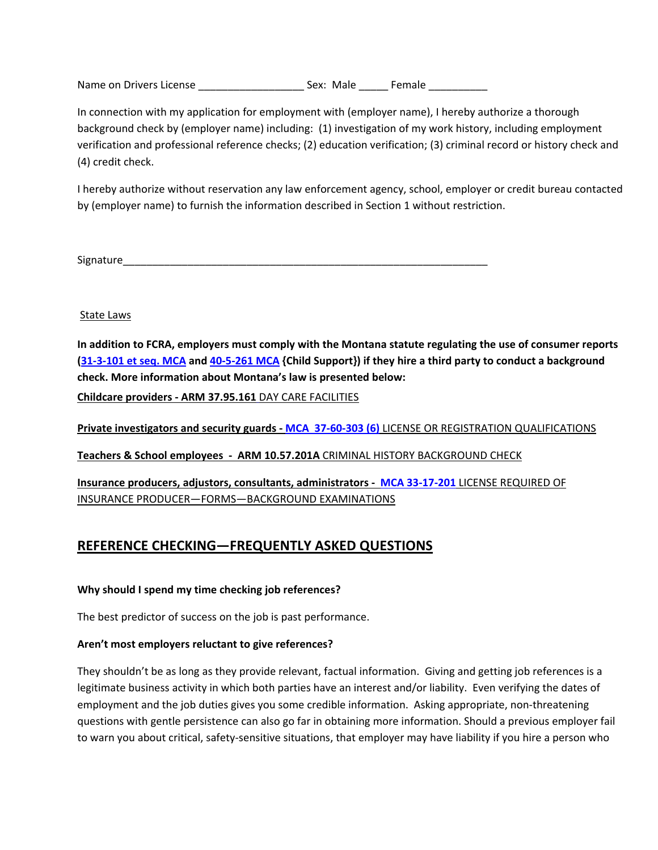Name on Drivers License \_\_\_\_\_\_\_\_\_\_\_\_\_\_\_\_\_\_\_\_\_\_\_\_\_\_\_ Sex: Male \_\_\_\_\_\_\_\_ Female \_\_\_\_\_\_\_\_\_\_\_\_\_\_\_\_\_\_\_\_\_

In connection with my application for employment with (employer name), I hereby authorize a thorough background check by (employer name) including: (1) investigation of my work history, including employment verification and professional reference checks; (2) education verification; (3) criminal record or history check and (4) credit check.

I hereby authorize without reservation any law enforcement agency, school, employer or credit bureau contacted by (employer name) to furnish the information described in Section 1 without restriction.

Signature\_\_\_\_\_\_\_\_\_\_\_\_\_\_\_\_\_\_\_\_\_\_\_\_\_\_\_\_\_\_\_\_\_\_\_\_\_\_\_\_\_\_\_\_\_\_\_\_\_\_\_\_\_\_\_\_\_\_\_\_\_\_

State Laws

In addition to FCRA, employers must comply with the Montana statute regulating the use of consumer reports (31-3-101 et seq. MCA and 40-5-261 MCA {Child Support}) if they hire a third party to conduct a background **check. More information about Montana's law is presented below:** 

**Childcare providers ‐ ARM 37.95.161** DAY CARE FACILITIES

**Private investigators and security guards ‐ MCA 37‐60‐303 (6)** LICENSE OR REGISTRATION QUALIFICATIONS

**Teachers & School employees ‐ ARM 10.57.201A** CRIMINAL HISTORY BACKGROUND CHECK

**Insurance producers, adjustors, consultants, administrators ‐ MCA 33‐17‐201** LICENSE REQUIRED OF INSURANCE PRODUCER—FORMS—BACKGROUND EXAMINATIONS

## **REFERENCE CHECKING—FREQUENTLY ASKED QUESTIONS**

#### **Why should I spend my time checking job references?**

The best predictor of success on the job is past performance.

#### **Aren't most employers reluctant to give references?**

They shouldn't be as long as they provide relevant, factual information. Giving and getting job references is a legitimate business activity in which both parties have an interest and/or liability. Even verifying the dates of employment and the job duties gives you some credible information. Asking appropriate, non-threatening questions with gentle persistence can also go far in obtaining more information. Should a previous employer fail to warn you about critical, safety-sensitive situations, that employer may have liability if you hire a person who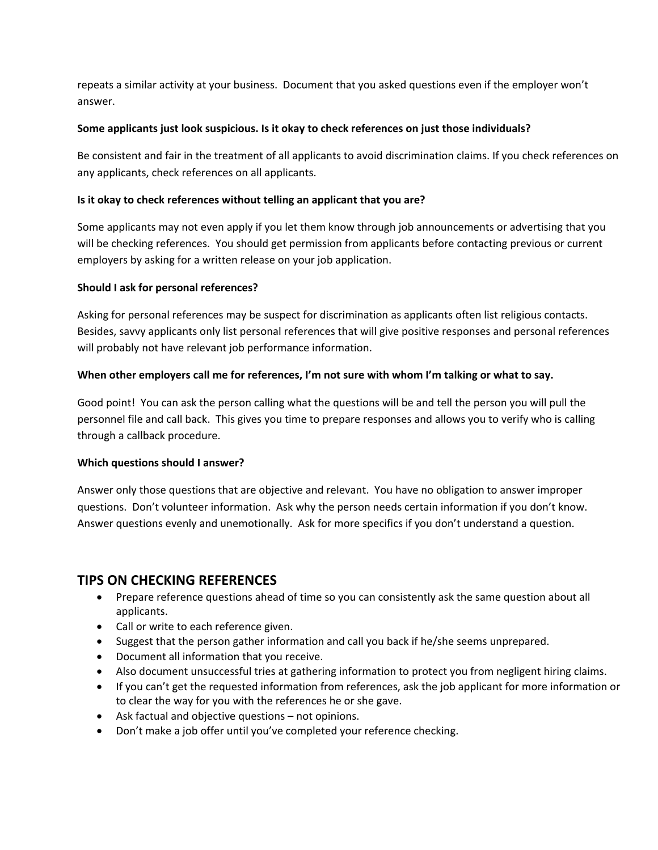repeats a similar activity at your business. Document that you asked questions even if the employer won't answer.

### **Some applicants just look suspicious. Is it okay to check references on just those individuals?**

Be consistent and fair in the treatment of all applicants to avoid discrimination claims. If you check references on any applicants, check references on all applicants.

### **Is it okay to check references without telling an applicant that you are?**

Some applicants may not even apply if you let them know through job announcements or advertising that you will be checking references. You should get permission from applicants before contacting previous or current employers by asking for a written release on your job application.

### **Should I ask for personal references?**

Asking for personal references may be suspect for discrimination as applicants often list religious contacts. Besides, savvy applicants only list personal references that will give positive responses and personal references will probably not have relevant job performance information.

### When other employers call me for references, I'm not sure with whom I'm talking or what to say.

Good point! You can ask the person calling what the questions will be and tell the person you will pull the personnel file and call back. This gives you time to prepare responses and allows you to verify who is calling through a callback procedure.

#### **Which questions should I answer?**

Answer only those questions that are objective and relevant. You have no obligation to answer improper questions. Don't volunteer information. Ask why the person needs certain information if you don't know. Answer questions evenly and unemotionally. Ask for more specifics if you don't understand a question.

## **TIPS ON CHECKING REFERENCES**

- Prepare reference questions ahead of time so you can consistently ask the same question about all applicants.
- Call or write to each reference given.
- Suggest that the person gather information and call you back if he/she seems unprepared.
- Document all information that you receive.
- Also document unsuccessful tries at gathering information to protect you from negligent hiring claims.
- If you can't get the requested information from references, ask the job applicant for more information or to clear the way for you with the references he or she gave.
- Ask factual and objective questions not opinions.
- Don't make a job offer until you've completed your reference checking.